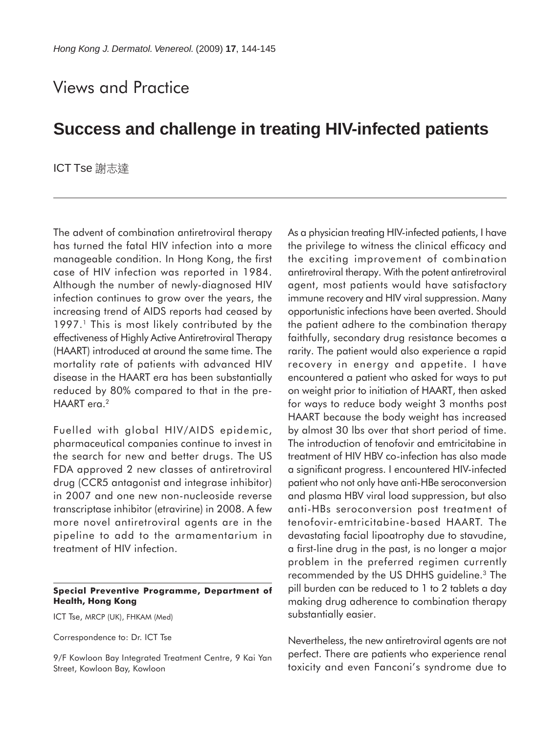## Views and Practice

## **Success and challenge in treating HIV-infected patients**

ICT Tse 謝志達

The advent of combination antiretroviral therapy has turned the fatal HIV infection into a more manageable condition. In Hong Kong, the first case of HIV infection was reported in 1984. Although the number of newly-diagnosed HIV infection continues to grow over the years, the increasing trend of AIDS reports had ceased by 1997.<sup>1</sup> This is most likely contributed by the effectiveness of Highly Active Antiretroviral Therapy (HAART) introduced at around the same time. The mortality rate of patients with advanced HIV disease in the HAART era has been substantially reduced by 80% compared to that in the pre-HAART era.<sup>2</sup>

Fuelled with global HIV/AIDS epidemic, pharmaceutical companies continue to invest in the search for new and better drugs. The US FDA approved 2 new classes of antiretroviral drug (CCR5 antagonist and integrase inhibitor) in 2007 and one new non-nucleoside reverse transcriptase inhibitor (etravirine) in 2008. A few more novel antiretroviral agents are in the pipeline to add to the armamentarium in treatment of HIV infection.

## **Special Preventive Programme, Department of Health, Hong Kong**

ICT Tse, MRCP (UK), FHKAM (Med)

Correspondence to: Dr. ICT Tse

9/F Kowloon Bay Integrated Treatment Centre, 9 Kai Yan Street, Kowloon Bay, Kowloon

As a physician treating HIV-infected patients, I have the privilege to witness the clinical efficacy and the exciting improvement of combination antiretroviral therapy. With the potent antiretroviral agent, most patients would have satisfactory immune recovery and HIV viral suppression. Many opportunistic infections have been averted. Should the patient adhere to the combination therapy faithfully, secondary drug resistance becomes a rarity. The patient would also experience a rapid recovery in energy and appetite. I have encountered a patient who asked for ways to put on weight prior to initiation of HAART, then asked for ways to reduce body weight 3 months post HAART because the body weight has increased by almost 30 lbs over that short period of time. The introduction of tenofovir and emtricitabine in treatment of HIV HBV co-infection has also made a significant progress. I encountered HIV-infected patient who not only have anti-HBe seroconversion and plasma HBV viral load suppression, but also anti-HBs seroconversion post treatment of tenofovir-emtricitabine-based HAART. The devastating facial lipoatrophy due to stavudine, a first-line drug in the past, is no longer a major problem in the preferred regimen currently recommended by the US DHHS guideline.3 The pill burden can be reduced to 1 to 2 tablets a day making drug adherence to combination therapy substantially easier.

Nevertheless, the new antiretroviral agents are not perfect. There are patients who experience renal toxicity and even Fanconi's syndrome due to